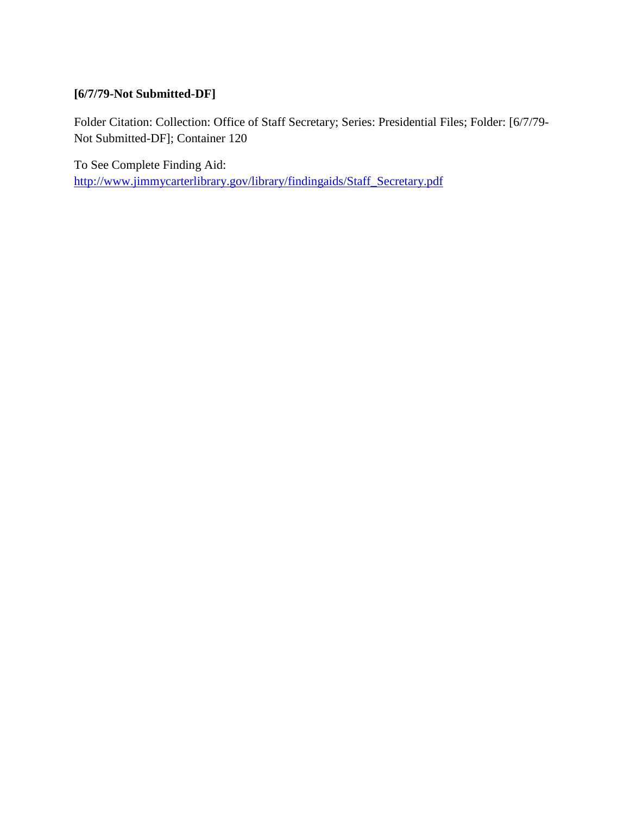# **[6/7/79-Not Submitted-DF]**

Folder Citation: Collection: Office of Staff Secretary; Series: Presidential Files; Folder: [6/7/79- Not Submitted-DF]; Container 120

To See Complete Finding Aid: [http://www.jimmycarterlibrary.gov/library/findingaids/Staff\\_Secretary.pdf](http://www.jimmycarterlibrary.gov/library/findingaids/Staff_Secretary.pdf)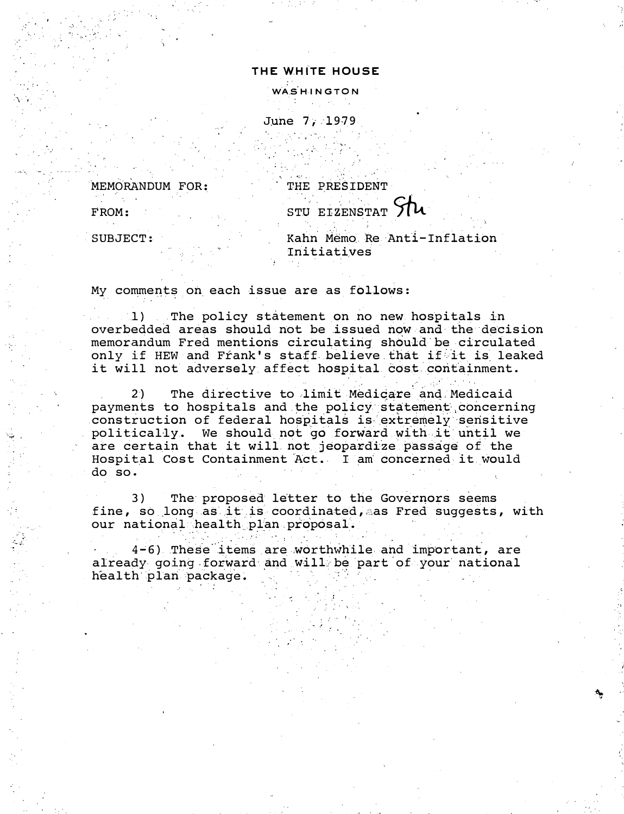## THE WHITE HOUSE

WASHINGTON

June 7, 1979

MEMORANDUM FOR:

 $FROM:$ 

THE PRESIDENT

STU EIZENSTAT 71

SUBJECT:

Kahn Memo Re Anti-Inflation Initiatives

My comments on each issue are as follows:

1) The policy statement on no new hospitals in overbedded areas should not be issued now and the decision memorandum Fred mentions circulating should be circulated only if HEW and Frank's staff believe that if it is leaked it will not adversely affect hospital cost containment.

The directive to limit Medicare and Medicaid 2) payments to hospitals and the policy statement concerning construction of federal hospitals is extremely sensitive politically. We should not go forward with it until we are certain that it will not jeopardize passage of the Hospital Cost Containment Act. I am concerned it would do so.

 $3)$ The proposed letter to the Governors seems fine, so long as it is coordinated, as Fred suggests, with our national health plan proposal.

4-6) These items are worthwhile and important, are already going forward and will be part of your national health plan package.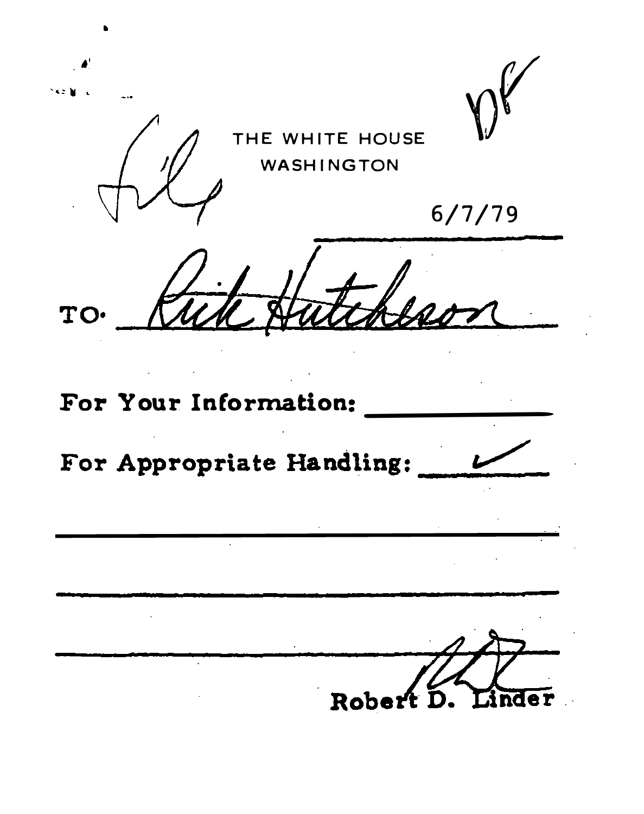THE WHITE HOUSE **WASHINGTON**  $6/7/79$ TO. For Your Information: For Appropriate Handling: Rob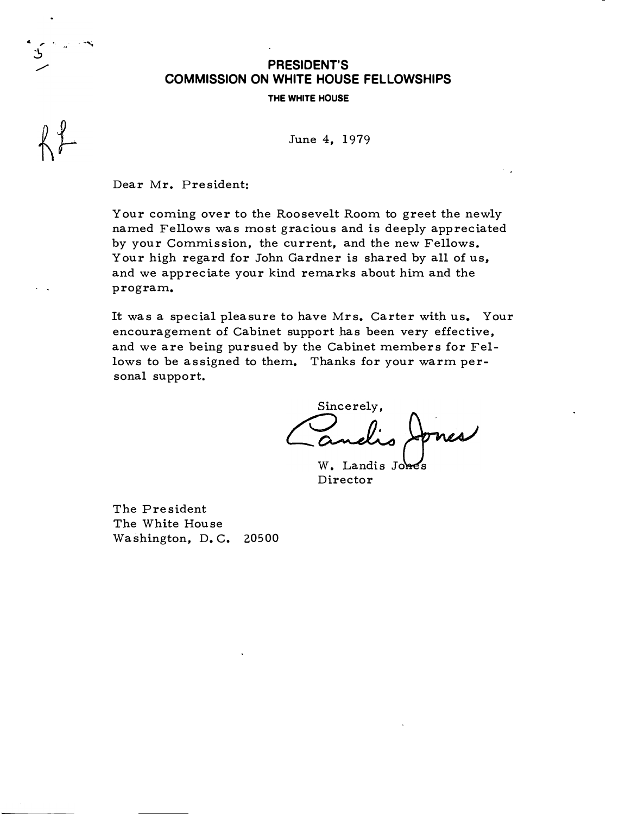## PRESIDENT'S COMMISSION ON WHITE HOUSE FELLOWSHIPS

THE WHITE HOUSE

June 4, 1979

Dear Mr. President:

... , . �

> Your coming over to the Roosevelt Room to greet the newly named Fellows was most gracious and is deeply appreciated by your Commission, the current, and the new Fellows. Your high regard for John Gardner is shared by all of us, and we appreciate your kind remarks about him and the program.

It was a special pleasure to have Mrs. Carter with us. Your encouragement of Cabinet support has been very effective, and we are being pursued by the Cabinet members for Fellows to be assigned to them. Thanks for your warm personal support.

Sincerely.  $W.$  Landis Jones

Director

The President The White House Washington, D.C. 20500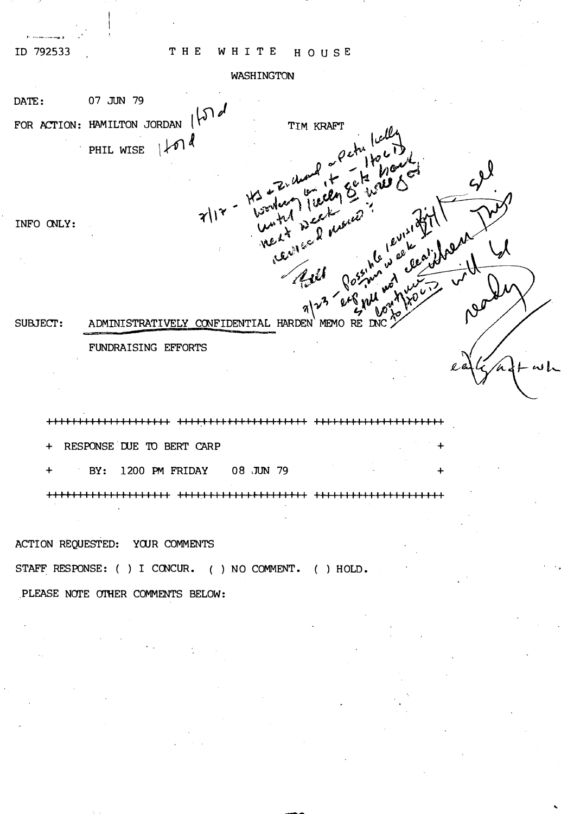## THE WHITE HOUSE

ID 792533

### WASHINGTON

DATE: 07 JUN 79 FOR ACTION: HAMILTON JORDAN  $\mathcal{P}^{1}$ TIM KRAFT PHIL WISE  $|\n\mathcal{M}|$ 

INFO CNLY:

ADMINISTRATIVELY CONFIDENTIAL HARDEN MEMO RE DNC SUBJECT:

FUNDRAISING EFFORTS

I I II I I I I I I I I I I I I I I I I ++++��+++I I I I I I I I I I I I I I Ill I I I I I I I I I I I I I I I I I

RESPONSE DUE TO BERT CARP

BY: 1200 PM FRIDAY 08 JUN 79

+1111111111111111111 1111.11111111111111111 111111111111111111111

..

ACTION REQUESTED: YOUR COMMENTS

STAFF RESPONSE: ( ) I CONCUR. ( ) NO COMMENT. ( ) HOLD.

PLEASE NOTE OTHER COMMENTS BELOW: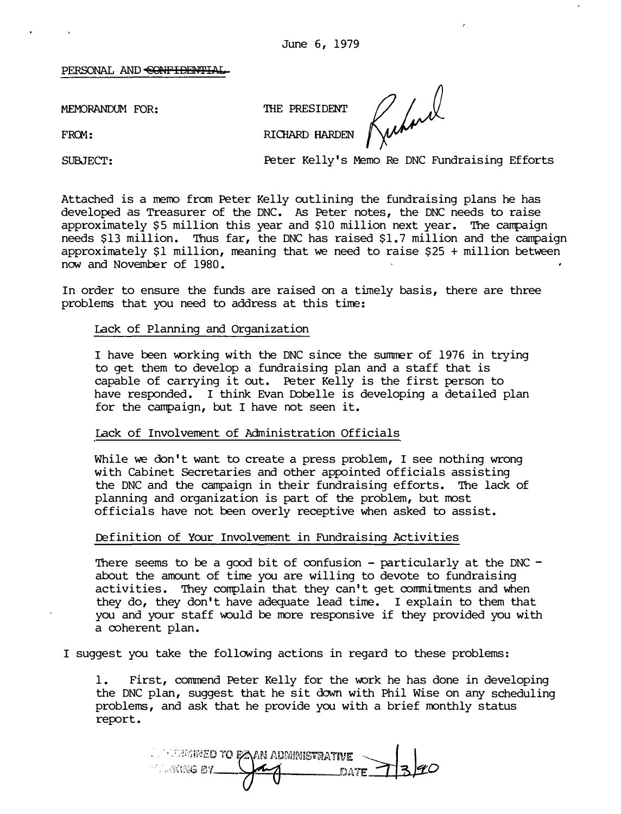#### PERSONAL AND CONFIDENTIAL

MEMORANDUM FOR: THE PRESIDENT

FROM: RICHARD HARDEN

Rubert

SUBJECT: Peter Kelly's Memo Re DNC Fundraising Efforts

Attached is a memo from Peter Kelly outlining the fundraising plans he has developed as Treasurer of the DNC. As Peter notes, the DNC needs to raise approximately \$5 million this year and \$10 million next year. The campaign needs \$13 million. Thus far, the DNC has raised \$1.7 million and the campaign approximately \$1 million, meaning that we need to raise \$25 + million between now and November of 1980.

In order to ensure the funds are raised on a timely basis, there are three problems that you need to address at this time:

#### Lack of Planning and Organization

I have been working with the DNC since the summer of 1976 in trying to get them to develop a fundraising plan and a staff that is capable of carrying it out. Peter Kelly is the first person to have responded. I think Evan Dobelle is developing a detailed plan for the campaign, but I have not seen it.

#### Lack of Involvement of Administration Officials

While we don't want to create a press problem, I see nothing wrong with Cabinet Secretaries and other appointed officials assisting the DNC and the campaign in their fundraising efforts. The lack of planning and organization is part of the problem, but most officials have not been overly receptive when asked to assist.

### Definition of Your Involvement in Fundraising Activities

There seems to be a good bit of confusion – particularly at the DNC – about the amount of time you are willing to devote to fundraising activities. They complain that they can't get commitments and when they do, they don't have adequate lead time. I explain to them that you and your staff would be more responsive if they provided you with a coherent plan.

I suggest you take the following actions in regard to these problems:

1. First, commend Peter Kelly for the work he has done in developing the DNC plan, suggest that he sit dawn with Phil Wise on any scheduling problems, and ask that he provide you with a brief monthly status report.

i populatived to paan administrative **MARING BY\_\_** DATE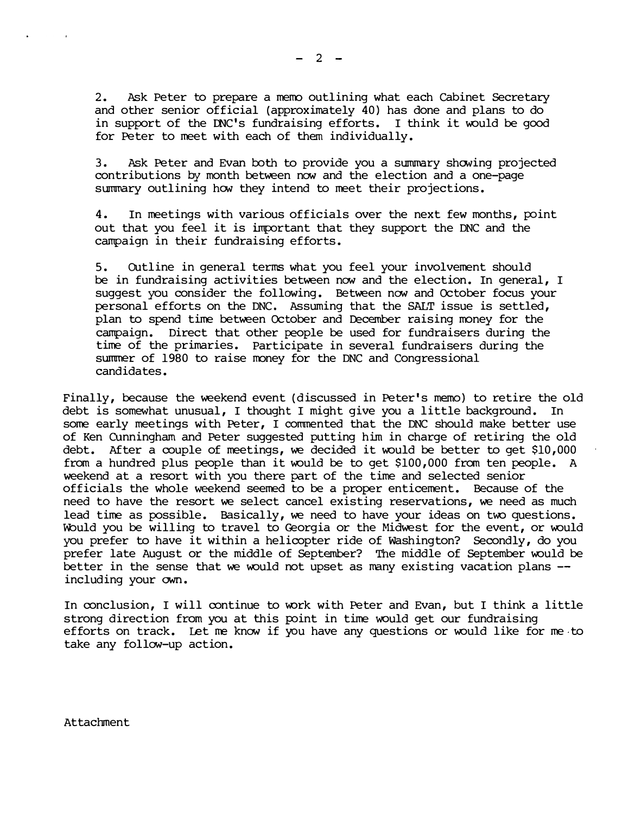2. Ask Peter to prepare a memo outlining what each Cabinet Secretary and other senior official (approximately 40) has done and plans to do in support of the DNC's fundraising efforts. I think it would be good for Peter to meet with each of them individually.

3. Ask Peter and Evan both to provide you a summary showing projected contributions by month between now and the election and a one-page summary outlining how they intend to meet their projections.

4. In meetings with various officials over the next few months, point out that you feel it is important that they support the DNC and the campaign in their fundraising efforts.

5. OUtline in general terms what you feel your involvement should be in fundraising activities between now and the election. In general, I suggest you consider the following. Between now and October focus your personal efforts on the DNC. Assuming that the SALT issue is settled, plan to spend time between October and December raising money for the campaign. Direct that other people be used for fundraisers during the time of the primaries. Participate in several fundraisers during the summer of 1980 to raise money for the DNC and Congressional candidates.

Finally, because the weekend event (discussed in Peter's memo) to retire the old debt is somewhat unusual, I thought I might give you a little background. In some early meetings with Peter, I commented that the DNC should make better use of Ken CUnningham and Peter suggested putting him in charge of retiring the old debt. After a couple of meetings, we decided it would be better to get \$10,000 from a hundred plus people than it would be to get  $$100,000$  from ten people. A weekend at a resort with you there part of the time and selected senior officials the whole weekend seemed to be a proper enticement. Because of the need to have the resort we select cancel existing reservations, we need as much lead time as possible. Basically, we need to have your ideas on two questions. Would you be willing to travel to Georgia or the Midwest for the event, or would you prefer to have it within a helicopter ride of Washington? Secondly, do you prefer late August or the middle of September? The middle of September would be better in the sense that we would not upset as many existing vacation plans  $-$ including your own.

In conclusion, I will continue to work with Peter and Evan, but I think a little strong direction from you at this point in time would get our fundraising efforts on track. Let me know if you have any questions or would like for me to take any follow-up action.

Attachment

 $-2 -$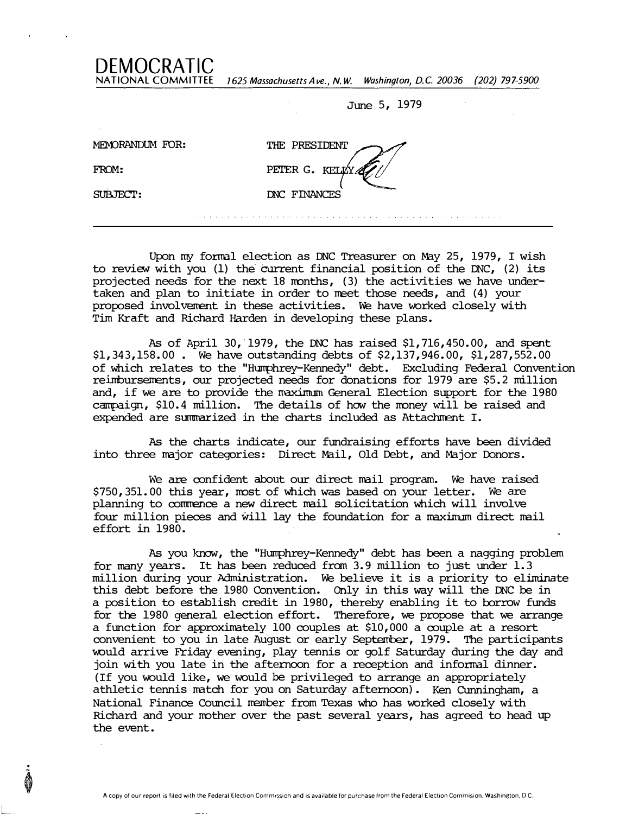NATIONAL COMMITTEE 1625 Massachusetts Ave., N.W. Washington, D.C. 20036 (202) 797-5900

June 5, 1979

| $\sim$<br>MEMORANDUM FOR: | THE PRESIDENT  |
|---------------------------|----------------|
| FROM:                     | PETER G. KELLY |
| SUBJECT:                  | DNC FINANCES   |
|                           |                |

DEMOCRATIC

Upon my formal election as DNC Treasurer on May 25, 1979, I wish to review with you (1) the current financial position of the DNC, (2) its projected needs for the next  $18$  months,  $(3)$  the activities we have undertaken and plan to initiate in order to neet those needs, and (4) your proposed involvement in these activities. We have worked closely with Tim Kraft and Richard Harden in developing these plans.

As of April 30, 1979, the DNC has raised  $$1, 716, 450.00$ , and spent \$1,343,158.00 . We have outstanding aebts of \$2,137,946.00, \$1,287,552.00 of which relates to the "Humphrey-Kennedy" debt. Excluding Federal Convention reimbursements, our projected needs for donations for 1979 are \$5.2 million and, if we are to provide the maximum General Election support for the 1980 campaign, \$10.4 million. The details of how the money will be raised and expended are summarized in the charts included as Attachment I.

As the charts indicate, our fundraising efforts have been divided into three major categories: Direct Mail, Old Debt, and Major Donors.

We are oonfident about our direct mail program. We have raised \$750, 351.00 this year, most of which was based on your letter. We are planning to commence a new direct mail solicitation which will involve four million pieces and will lay the foundation for a maximum direct mail effort in 1980.

As you know, the "Humphrey-Kennedy" debt has been a nagging problem for many years. It has been reduced from 3.9 million to just under 1.3 million during your Administration. We believe it is a priority to eliminate this debt before the 1980 Convention. Only in this way will the DNC be in a position to establish credit in 1980, thereby enabling it to borrow funds for the 1980 general election effort. Therefore, we propose that we arrange a function for approximately 100 couples at \$10,000 a oouple at a resort convenient to you in late August or early September, 1979. The participants would arrive Friday evening, play tennis or golf Saturday during the day and join with you late in the afternoon for a reception and infonnal dinner. (If you would like, we would be privileged to arrange an appropriately athletic tennis match for you on Saturday afternoon). Ken Cunningham, a National Finance Council member from Texas who has worked closely with Richard and your mother over the past several years, has agreed to head up the event .

L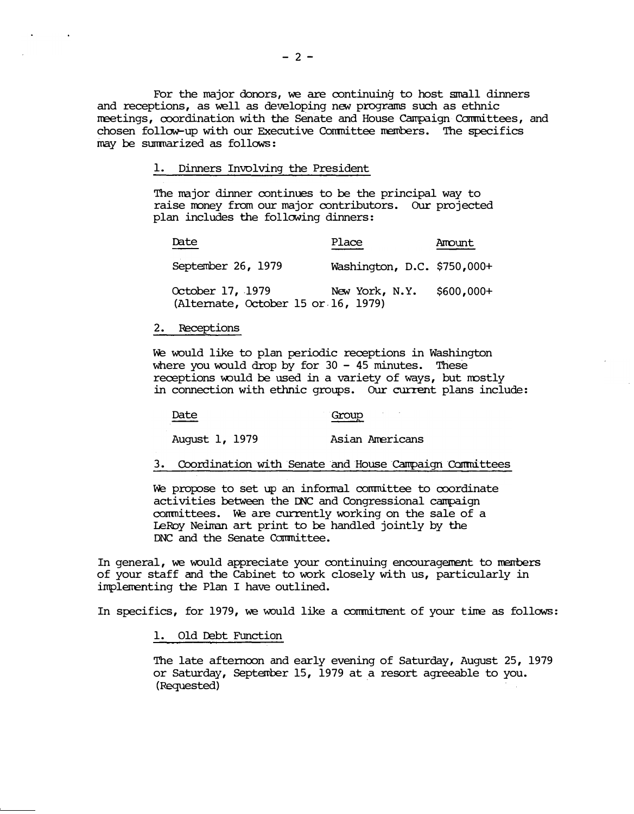For the major donors, we are continuing to host small dinners and receptions, as well as developing new programs such as ethnic  $m$ eetings, coordination with the Senate and House Campaign Committees, and chosen follow-up with our Executive Conmittee members. The specifics may be summarized as follows:

1. Dinners Involving the President

The major dinner continues to be the principal way to raise money from our major contributors. Our projected plan includes the following dinners:

| Date                                                    | Place                       | Amount     |
|---------------------------------------------------------|-----------------------------|------------|
| September 26, 1979                                      | Washington, D.C. \$750,000+ |            |
| October 17, 1979<br>(Alternate, October 15 or 16, 1979) | New York, N.Y.              | \$600,000+ |

#### 2. Receptions

We would like to plan periodic receptions in Washington where you would drop by for  $30 - 45$  minutes. These receptions would be used in a variety of ways, but mostly in connection with ethnic groups. Our current plans include:

Date Group

August 1, 1979 Asian Americans

3. Coordination with Senate and House Campaign Committees

We propose to set up an informal committee to coordinate conmittees. We are currently working on the sale of a activities between the INC and Congressional carrpaign leRoy Neiman art print to be handled jointly by the DNC and the Senate Conmittee.

In general, we would appreciate your continuing encouragement to members of your staff and the cabinet to work closely with us, particularly in implementing the Plan I have outlined.

In specifics, for 1979, we would like a commitment of your time as follows:

1. Old Debt Function

The late afternoon and early evening of Saturday, August 25, 1979 or Saturday, September 15, 1979 at a resort agreeable to you. (Requested) ·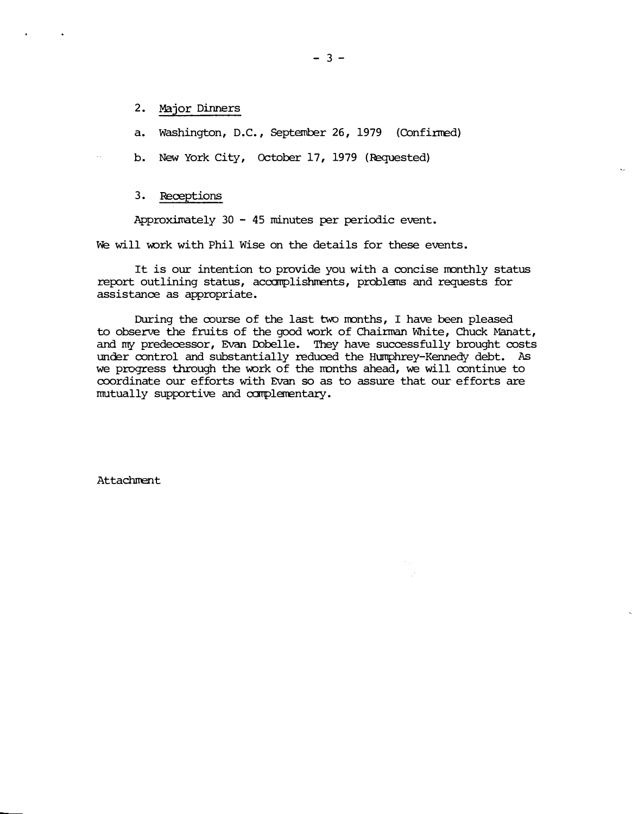## 2. Major Dinners

a. Washington, D.C., September 26, 1979 (Confinned)

b. New York City, October 17, 1979 (Iequested)

## 3. Receptions

Approximately 30 - 45 minutes per periodic event.

We will work with Phil Wise on the details for these events.

It is our intention to provide you with a concise monthly status report outlining status, accomplishments, problems and requests for assistance as appropriate.

During the course of the last two months, I have been pleased to observe the fruits of the good work of Chainnan White, Chuck Manatt, and my predecessor, Evan Dobelle. They have successfully brought costs under control and substantially reduced the Humphrey-Kennedy debt. As we progress through the work of the months ahead, we will continue to coordinate our efforts with Evan so as to assure that our efforts are mutually supportive and complementary.

**Attachment**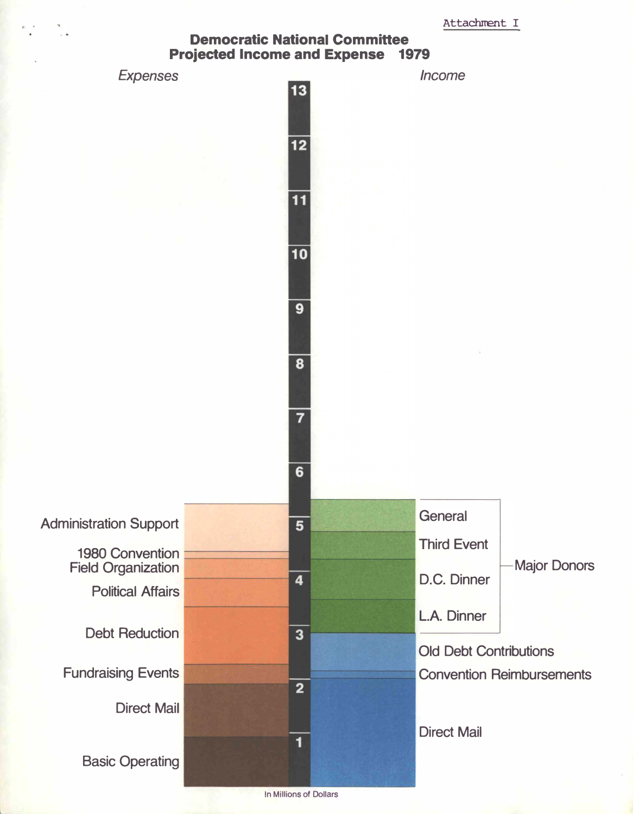## Democratic National Committee Projected Income and Expense 1979



In Millions of Dollars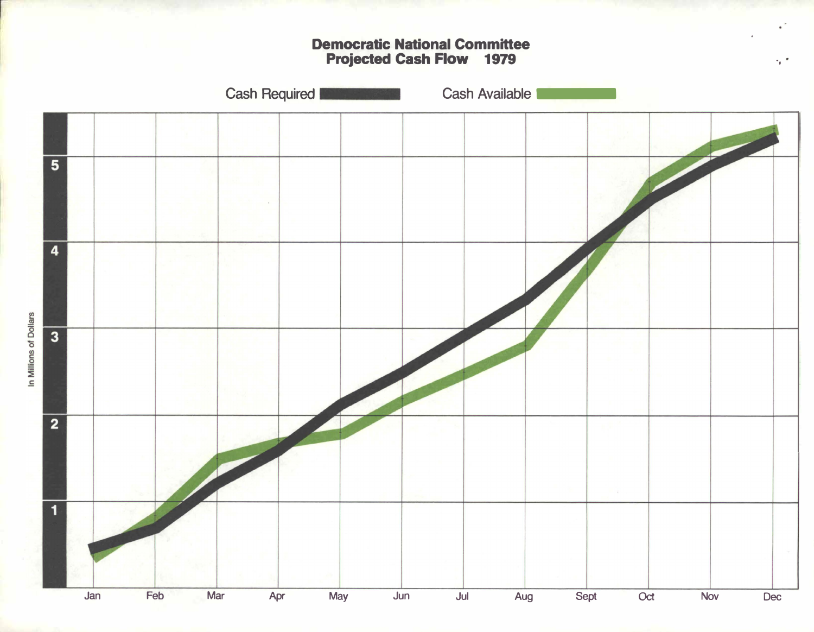Democratic National Committee Projected Cash Row 1979

·,

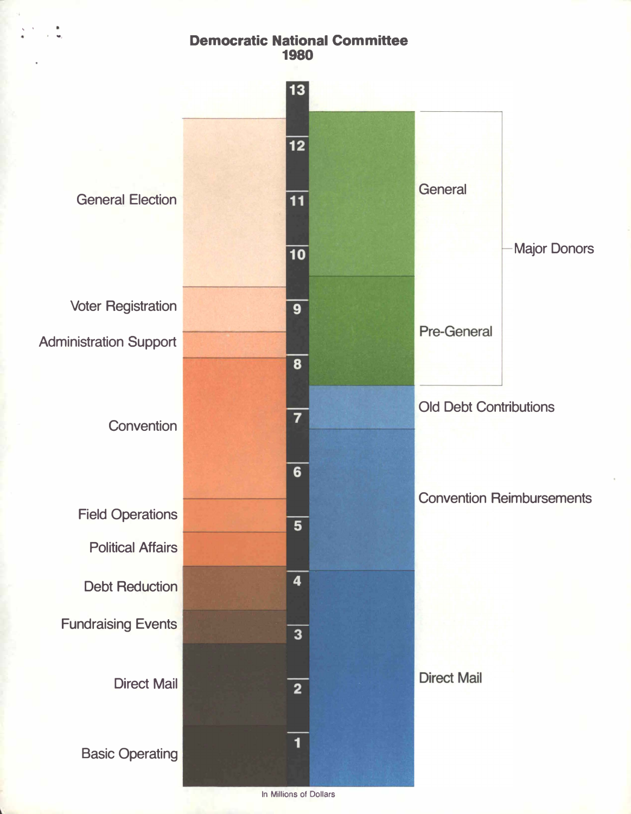# Democratic National Committee 1980

' .

...



In Millions of Dollars